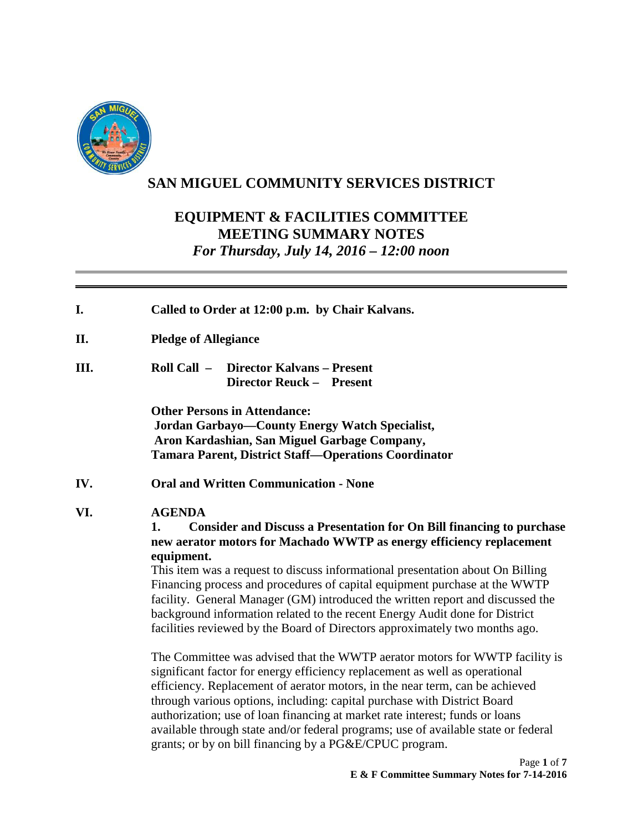

# **SAN MIGUEL COMMUNITY SERVICES DISTRICT**

## **EQUIPMENT & FACILITIES COMMITTEE MEETING SUMMARY NOTES**  *For Thursday, July 14, 2016 – 12:00 noon*

| I.   | Called to Order at 12:00 p.m. by Chair Kalvans.                                                                                                                                                                                                                                                                                                                                                                                                                                                                                                                                                           |
|------|-----------------------------------------------------------------------------------------------------------------------------------------------------------------------------------------------------------------------------------------------------------------------------------------------------------------------------------------------------------------------------------------------------------------------------------------------------------------------------------------------------------------------------------------------------------------------------------------------------------|
| П.   | <b>Pledge of Allegiance</b>                                                                                                                                                                                                                                                                                                                                                                                                                                                                                                                                                                               |
| III. | Roll Call $-$<br><b>Director Kalvans - Present</b><br><b>Director Reuck - Present</b>                                                                                                                                                                                                                                                                                                                                                                                                                                                                                                                     |
|      | <b>Other Persons in Attendance:</b><br><b>Jordan Garbayo—County Energy Watch Specialist,</b><br>Aron Kardashian, San Miguel Garbage Company,<br><b>Tamara Parent, District Staff-Operations Coordinator</b>                                                                                                                                                                                                                                                                                                                                                                                               |
| IV.  | <b>Oral and Written Communication - None</b>                                                                                                                                                                                                                                                                                                                                                                                                                                                                                                                                                              |
| VI.  | <b>AGENDA</b><br><b>Consider and Discuss a Presentation for On Bill financing to purchase</b><br>1.<br>new aerator motors for Machado WWTP as energy efficiency replacement<br>equipment.<br>This item was a request to discuss informational presentation about On Billing<br>Financing process and procedures of capital equipment purchase at the WWTP<br>facility. General Manager (GM) introduced the written report and discussed the<br>background information related to the recent Energy Audit done for District<br>facilities reviewed by the Board of Directors approximately two months ago. |
|      | The Committee was advised that the WWTP aerator motors for WWTP facility is<br>significant factor for energy efficiency replacement as well as operational<br>efficiency. Replacement of aerator motors, in the near term, can be achieved<br>through various options, including: capital purchase with District Board<br>authorization; use of loan financing at market rate interest; funds or loans<br>available through state and/or federal programs; use of available state or federal<br>grants; or by on bill financing by a PG&E/CPUC program.                                                   |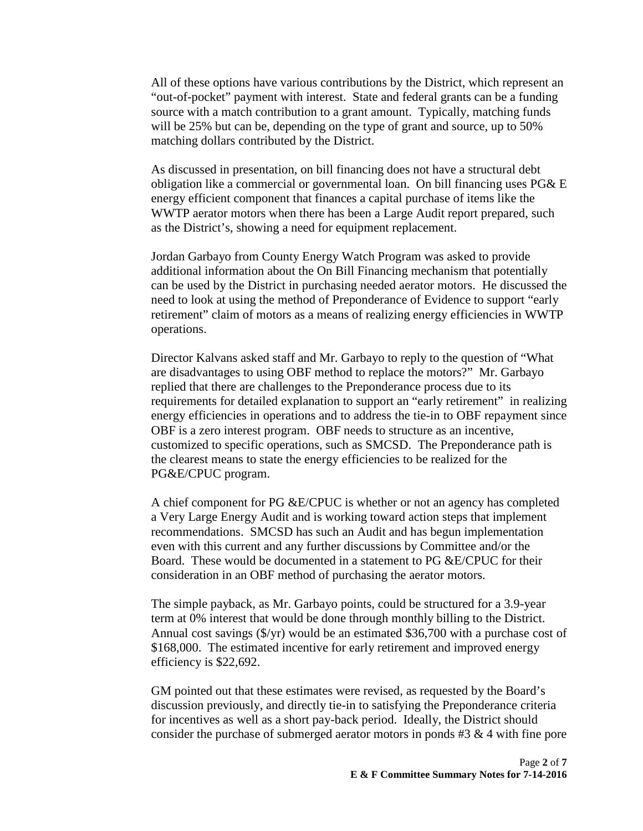All of these options have various contributions by the District, which represent an "out-of-pocket" payment with interest. State and federal grants can be a funding source with a match contribution to a grant amount. Typically, matching funds will be 25% but can be, depending on the type of grant and source, up to 50% matching dollars contributed by the District.

 As discussed in presentation, on bill financing does not have a structural debt obligation like a commercial or governmental loan. On bill financing uses PG& E energy efficient component that finances a capital purchase of items like the WWTP aerator motors when there has been a Large Audit report prepared, such as the District's, showing a need for equipment replacement.

 Jordan Garbayo from County Energy Watch Program was asked to provide additional information about the On Bill Financing mechanism that potentially can be used by the District in purchasing needed aerator motors. He discussed the need to look at using the method of Preponderance of Evidence to support "early retirement" claim of motors as a means of realizing energy efficiencies in WWTP operations.

 Director Kalvans asked staff and Mr. Garbayo to reply to the question of "What are disadvantages to using OBF method to replace the motors?" Mr. Garbayo replied that there are challenges to the Preponderance process due to its requirements for detailed explanation to support an "early retirement" in realizing energy efficiencies in operations and to address the tie-in to OBF repayment since OBF is a zero interest program. OBF needs to structure as an incentive, customized to specific operations, such as SMCSD. The Preponderance path is the clearest means to state the energy efficiencies to be realized for the PG&E/CPUC program.

 A chief component for PG &E/CPUC is whether or not an agency has completed a Very Large Energy Audit and is working toward action steps that implement recommendations. SMCSD has such an Audit and has begun implementation even with this current and any further discussions by Committee and/or the Board. These would be documented in a statement to PG &E/CPUC for their consideration in an OBF method of purchasing the aerator motors.

 The simple payback, as Mr. Garbayo points, could be structured for a 3.9-year term at 0% interest that would be done through monthly billing to the District. Annual cost savings (\$/yr) would be an estimated \$36,700 with a purchase cost of \$168,000. The estimated incentive for early retirement and improved energy efficiency is \$22,692.

 GM pointed out that these estimates were revised, as requested by the Board's discussion previously, and directly tie-in to satisfying the Preponderance criteria for incentives as well as a short pay-back period. Ideally, the District should consider the purchase of submerged aerator motors in ponds #3 & 4 with fine pore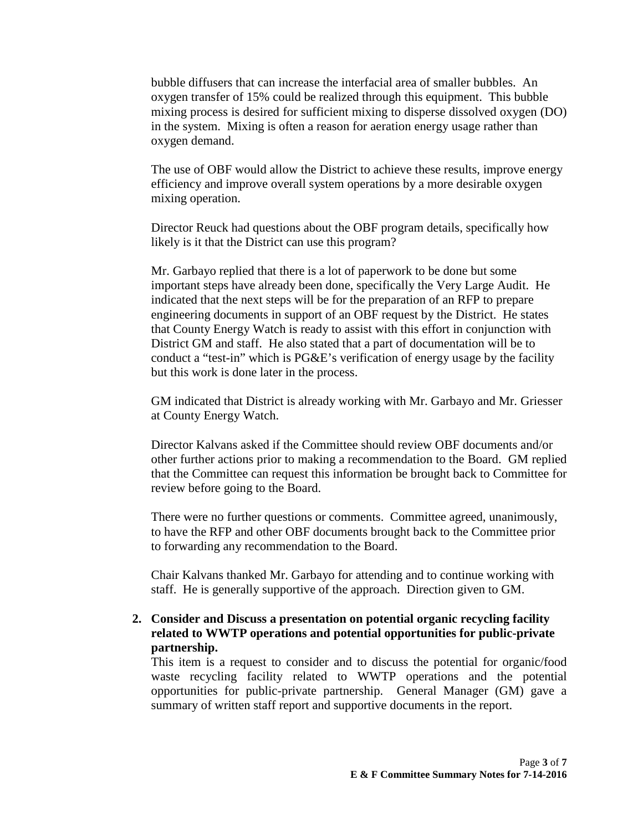bubble diffusers that can increase the interfacial area of smaller bubbles. An oxygen transfer of 15% could be realized through this equipment. This bubble mixing process is desired for sufficient mixing to disperse dissolved oxygen (DO) in the system. Mixing is often a reason for aeration energy usage rather than oxygen demand.

 The use of OBF would allow the District to achieve these results, improve energy efficiency and improve overall system operations by a more desirable oxygen mixing operation.

 Director Reuck had questions about the OBF program details, specifically how likely is it that the District can use this program?

 Mr. Garbayo replied that there is a lot of paperwork to be done but some important steps have already been done, specifically the Very Large Audit. He indicated that the next steps will be for the preparation of an RFP to prepare engineering documents in support of an OBF request by the District. He states that County Energy Watch is ready to assist with this effort in conjunction with District GM and staff. He also stated that a part of documentation will be to conduct a "test-in" which is PG&E's verification of energy usage by the facility but this work is done later in the process.

 GM indicated that District is already working with Mr. Garbayo and Mr. Griesser at County Energy Watch.

 Director Kalvans asked if the Committee should review OBF documents and/or other further actions prior to making a recommendation to the Board. GM replied that the Committee can request this information be brought back to Committee for review before going to the Board.

 There were no further questions or comments. Committee agreed, unanimously, to have the RFP and other OBF documents brought back to the Committee prior to forwarding any recommendation to the Board.

 Chair Kalvans thanked Mr. Garbayo for attending and to continue working with staff. He is generally supportive of the approach. Direction given to GM.

#### **2. Consider and Discuss a presentation on potential organic recycling facility related to WWTP operations and potential opportunities for public-private partnership.**

This item is a request to consider and to discuss the potential for organic/food waste recycling facility related to WWTP operations and the potential opportunities for public-private partnership. General Manager (GM) gave a summary of written staff report and supportive documents in the report.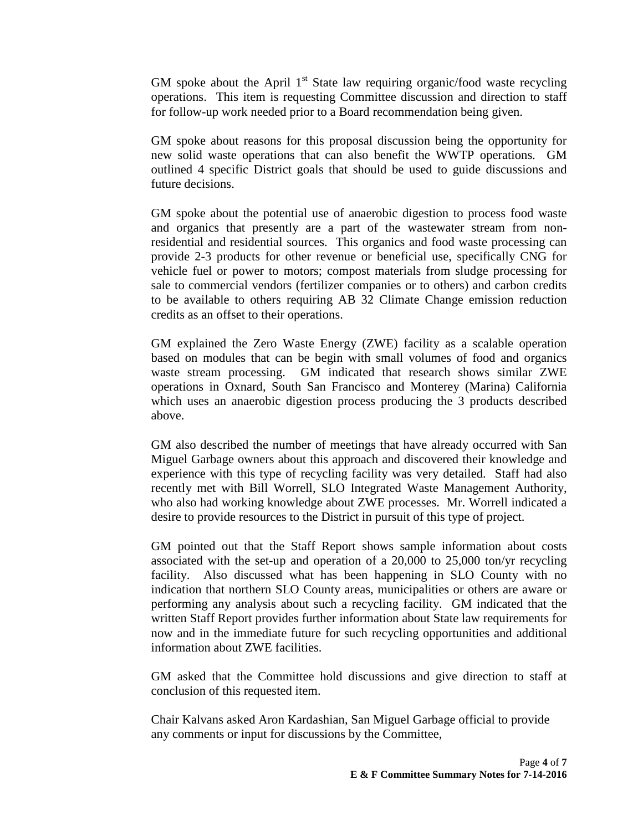GM spoke about the April  $1<sup>st</sup>$  State law requiring organic/food waste recycling operations. This item is requesting Committee discussion and direction to staff for follow-up work needed prior to a Board recommendation being given.

 GM spoke about reasons for this proposal discussion being the opportunity for new solid waste operations that can also benefit the WWTP operations. GM outlined 4 specific District goals that should be used to guide discussions and future decisions.

 GM spoke about the potential use of anaerobic digestion to process food waste and organics that presently are a part of the wastewater stream from non residential and residential sources. This organics and food waste processing can provide 2-3 products for other revenue or beneficial use, specifically CNG for vehicle fuel or power to motors; compost materials from sludge processing for sale to commercial vendors (fertilizer companies or to others) and carbon credits to be available to others requiring AB 32 Climate Change emission reduction credits as an offset to their operations.

 GM explained the Zero Waste Energy (ZWE) facility as a scalable operation based on modules that can be begin with small volumes of food and organics waste stream processing. GM indicated that research shows similar ZWE operations in Oxnard, South San Francisco and Monterey (Marina) California which uses an anaerobic digestion process producing the 3 products described above.

 GM also described the number of meetings that have already occurred with San Miguel Garbage owners about this approach and discovered their knowledge and experience with this type of recycling facility was very detailed. Staff had also recently met with Bill Worrell, SLO Integrated Waste Management Authority, who also had working knowledge about ZWE processes. Mr. Worrell indicated a desire to provide resources to the District in pursuit of this type of project.

 GM pointed out that the Staff Report shows sample information about costs associated with the set-up and operation of a 20,000 to 25,000 ton/yr recycling facility. Also discussed what has been happening in SLO County with no indication that northern SLO County areas, municipalities or others are aware or performing any analysis about such a recycling facility. GM indicated that the written Staff Report provides further information about State law requirements for now and in the immediate future for such recycling opportunities and additional information about ZWE facilities.

 GM asked that the Committee hold discussions and give direction to staff at conclusion of this requested item.

Chair Kalvans asked Aron Kardashian, San Miguel Garbage official to provide any comments or input for discussions by the Committee,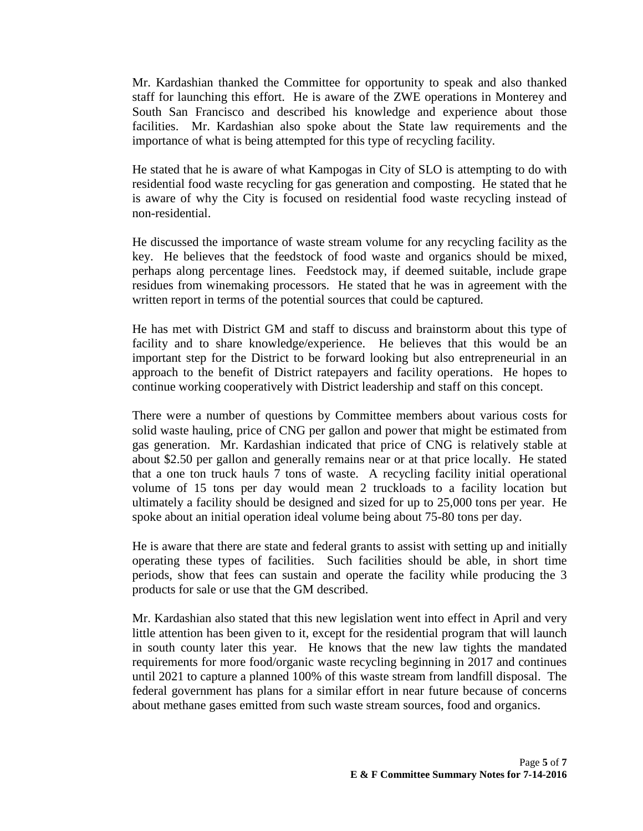Mr. Kardashian thanked the Committee for opportunity to speak and also thanked staff for launching this effort. He is aware of the ZWE operations in Monterey and South San Francisco and described his knowledge and experience about those facilities. Mr. Kardashian also spoke about the State law requirements and the importance of what is being attempted for this type of recycling facility.

He stated that he is aware of what Kampogas in City of SLO is attempting to do with residential food waste recycling for gas generation and composting. He stated that he is aware of why the City is focused on residential food waste recycling instead of non-residential.

He discussed the importance of waste stream volume for any recycling facility as the key. He believes that the feedstock of food waste and organics should be mixed, perhaps along percentage lines. Feedstock may, if deemed suitable, include grape residues from winemaking processors. He stated that he was in agreement with the written report in terms of the potential sources that could be captured.

He has met with District GM and staff to discuss and brainstorm about this type of facility and to share knowledge/experience. He believes that this would be an important step for the District to be forward looking but also entrepreneurial in an approach to the benefit of District ratepayers and facility operations. He hopes to continue working cooperatively with District leadership and staff on this concept.

There were a number of questions by Committee members about various costs for solid waste hauling, price of CNG per gallon and power that might be estimated from gas generation. Mr. Kardashian indicated that price of CNG is relatively stable at about \$2.50 per gallon and generally remains near or at that price locally. He stated that a one ton truck hauls 7 tons of waste. A recycling facility initial operational volume of 15 tons per day would mean 2 truckloads to a facility location but ultimately a facility should be designed and sized for up to 25,000 tons per year. He spoke about an initial operation ideal volume being about 75-80 tons per day.

He is aware that there are state and federal grants to assist with setting up and initially operating these types of facilities. Such facilities should be able, in short time periods, show that fees can sustain and operate the facility while producing the 3 products for sale or use that the GM described.

Mr. Kardashian also stated that this new legislation went into effect in April and very little attention has been given to it, except for the residential program that will launch in south county later this year. He knows that the new law tights the mandated requirements for more food/organic waste recycling beginning in 2017 and continues until 2021 to capture a planned 100% of this waste stream from landfill disposal. The federal government has plans for a similar effort in near future because of concerns about methane gases emitted from such waste stream sources, food and organics.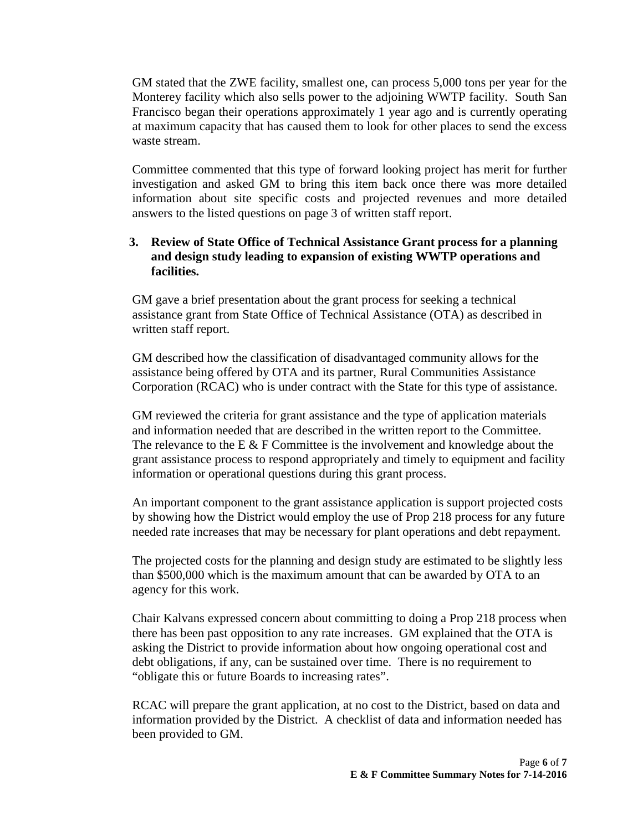GM stated that the ZWE facility, smallest one, can process 5,000 tons per year for the Monterey facility which also sells power to the adjoining WWTP facility. South San Francisco began their operations approximately 1 year ago and is currently operating at maximum capacity that has caused them to look for other places to send the excess waste stream.

Committee commented that this type of forward looking project has merit for further investigation and asked GM to bring this item back once there was more detailed information about site specific costs and projected revenues and more detailed answers to the listed questions on page 3 of written staff report.

### **3. Review of State Office of Technical Assistance Grant process for a planning and design study leading to expansion of existing WWTP operations and facilities.**

GM gave a brief presentation about the grant process for seeking a technical assistance grant from State Office of Technical Assistance (OTA) as described in written staff report.

GM described how the classification of disadvantaged community allows for the assistance being offered by OTA and its partner, Rural Communities Assistance Corporation (RCAC) who is under contract with the State for this type of assistance.

GM reviewed the criteria for grant assistance and the type of application materials and information needed that are described in the written report to the Committee. The relevance to the E  $&$  F Committee is the involvement and knowledge about the grant assistance process to respond appropriately and timely to equipment and facility information or operational questions during this grant process.

An important component to the grant assistance application is support projected costs by showing how the District would employ the use of Prop 218 process for any future needed rate increases that may be necessary for plant operations and debt repayment.

The projected costs for the planning and design study are estimated to be slightly less than \$500,000 which is the maximum amount that can be awarded by OTA to an agency for this work.

Chair Kalvans expressed concern about committing to doing a Prop 218 process when there has been past opposition to any rate increases. GM explained that the OTA is asking the District to provide information about how ongoing operational cost and debt obligations, if any, can be sustained over time. There is no requirement to "obligate this or future Boards to increasing rates".

RCAC will prepare the grant application, at no cost to the District, based on data and information provided by the District. A checklist of data and information needed has been provided to GM.